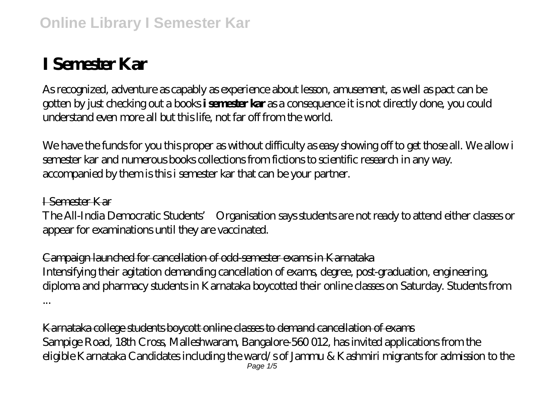## **I Semester Kar**

As recognized, adventure as capably as experience about lesson, amusement, as well as pact can be gotten by just checking out a books **i semester kar** as a consequence it is not directly done, you could understand even more all but this life, not far off from the world.

We have the funds for you this proper as without difficulty as easy showing off to get those all. We allow i semester kar and numerous books collections from fictions to scientific research in any way. accompanied by them is this i semester kar that can be your partner.

I Semester Kar The All-India Democratic Students' Organisation says students are not ready to attend either classes or appear for examinations until they are vaccinated.

Campaign launched for cancellation of odd-semester exams in Karnataka Intensifying their agitation demanding cancellation of exams, degree, post-graduation, engineering, diploma and pharmacy students in Karnataka boycotted their online classes on Saturday. Students from ...

Karnataka college students boycott online classes to demand cancellation of exams Sampige Road, 18th Cross, Malleshwaram, Bangalore-560 012, has invited applications from the eligible Karnataka Candidates including the ward/s of Jammu & Kashmiri migrants for admission to the Page 1/5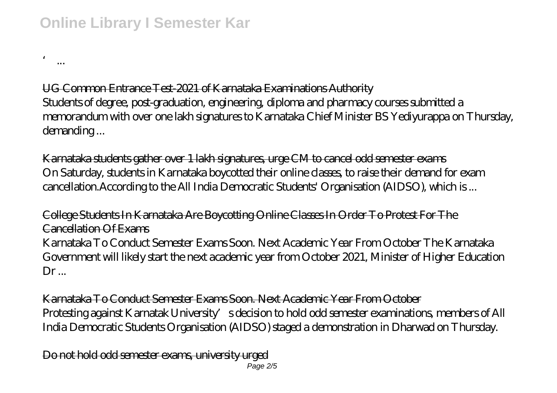## **Online Library I Semester Kar**

' ...

UG Common Entrance Test-2021 of Karnataka Examinations Authority Students of degree, post-graduation, engineering, diploma and pharmacy courses submitted a memorandum with over one lakh signatures to Karnataka Chief Minister BS Yediyurappa on Thursday, demanding ...

Karnataka students gather over 1 lakh signatures, urge CM to cancel odd semester exams On Saturday, students in Karnataka boycotted their online classes, to raise their demand for exam cancellation.According to the All India Democratic Students' Organisation (AIDSO), which is ...

College Students In Karnataka Are Boycotting Online Classes In Order To Protest For The Cancellation Of Exams Karnataka To Conduct Semester Exams Soon. Next Academic Year From October The Karnataka Government will likely start the next academic year from October 2021, Minister of Higher Education  $Dr_{...}$ 

Karnataka To Conduct Semester Exams Soon. Next Academic Year From October Protesting against Karnatak University's decision to hold odd semester examinations, members of All India Democratic Students Organisation (AIDSO) staged a demonstration in Dharwad on Thursday.

Do not hold odd semester exams, university urged Page 2/5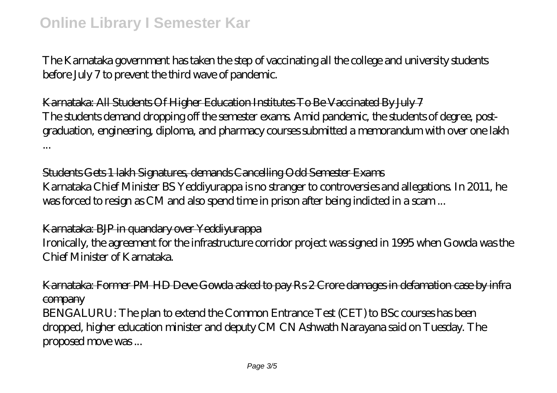The Karnataka government has taken the step of vaccinating all the college and university students before July 7 to prevent the third wave of pandemic.

Karnataka: All Students Of Higher Education Institutes To Be Vaccinated By July 7 The students demand dropping off the semester exams. Amid pandemic, the students of degree, postgraduation, engineering, diploma, and pharmacy courses submitted a memorandum with over one lakh ...

Students Gets 1 lakh Signatures, demands Cancelling Odd Semester Exams Karnataka Chief Minister BS Yeddiyurappa is no stranger to controversies and allegations. In 2011, he was forced to resign as CM and also spend time in prison after being indicted in a scam ...

Karnataka: BJP in quandary over Yeddiyurappa Ironically, the agreement for the infrastructure corridor project was signed in 1995 when Gowda was the Chief Minister of Karnataka.

Karnataka: Former PM HD Deve Gowda asked to pay Rs 2 Crore damages in defamation case by infra **company** 

BENGALURU: The plan to extend the Common Entrance Test (CET) to BSc courses has been dropped, higher education minister and deputy CM CN Ashwath Narayana said on Tuesday. The proposed move was ...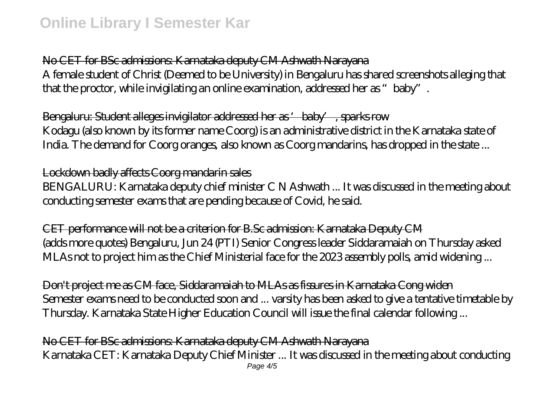No CET for BSc admissions: Karnataka deputy CM Ashwath Narayana A female student of Christ (Deemed to be University) in Bengaluru has shared screenshots alleging that that the proctor, while invigilating an online examination, addressed her as "baby".

Bengaluru: Student alleges invigilator addressed her as 'baby', sparks row Kodagu (also known by its former name Coorg) is an administrative district in the Karnataka state of India. The demand for Coorg oranges, also known as Coorg mandarins, has dropped in the state ...

## Lockdown badly affects Coorg mandarin sales

BENGALURU: Karnataka deputy chief minister C N Ashwath ... It was discussed in the meeting about conducting semester exams that are pending because of Covid, he said.

CET performance will not be a criterion for B.Sc admission: Karnataka Deputy CM (adds more quotes) Bengaluru, Jun 24 (PTI) Senior Congress leader Siddaramaiah on Thursday asked MLAs not to project him as the Chief Ministerial face for the 2023 assembly polls, amid widening ...

Don't project me as CM face, Siddaramaiah to MLAs as fissures in Karnataka Cong widen Semester exams need to be conducted soon and ... varsity has been asked to give a tentative timetable by Thursday. Karnataka State Higher Education Council will issue the final calendar following ...

No CET for BSc admissions: Karnataka deputy CM Ashwath Narayana Karnataka CET: Karnataka Deputy Chief Minister ... It was discussed in the meeting about conducting Page  $4/5$